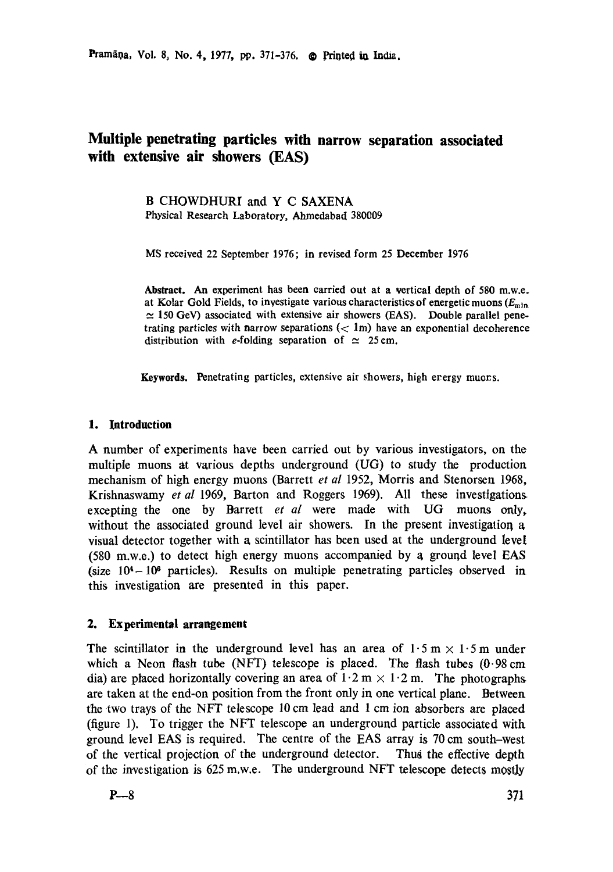Pramāņa, Vol. 8, No. 4, 1977, pp. 371-376. @ Printed in India.

# **Multiple penetrating particles with narrow separation associated with extensive air showers (EAS)**

**B CHOWDHURI** and **Y** C SAXENA Physical Research Laboratory, Ahmedabad 380009

MS received 22 September 1976; in revised form 25 December 1976

**Abstract.** An experiment **has been** carried out at a vertical depth of 580 m.w.e. at Kolar Gold Fields, to investigate various characteristics of energetic muons  $(E_{\min})$  $\simeq$  150 GeV) associated with extensive air showers (EAS). Double parallel penetrating particles with narrow separations  $(< 1<sub>m</sub>)$  have an exponential decoherence distribution with e-folding separation of  $\simeq 25$  cm.

Keywords. Penetrating particles, extensive air showers, high erergy muons.

# **1. Introduction**

A number of experiments have been carried out by various investigators, on the multiple muons at various depths underground (UG) to study the production mechanism of high energy muons (Barrett *et al* 1952, Morris and Stenorsen 1968, Krishnaswamy *et al* 1969, Barton and Roggers 1969). All these investigations excepting the one by Barrett *et al* were made with UG muons only, without the associated ground level air showers. In the present investigation a visual detector together with a scintillator has been used at the underground level  $(580 \text{ m.w.e.})$  to detect high energy muons accompanied by a ground level EAS (size  $10<sup>4</sup> - 10<sup>6</sup>$  particles). Results on multiple penetrating particles observed in. this investigation are presented in this paper.

# **2. Experimental arrangement**

The scintillator in the underground level has an area of  $1.5 \text{ m} \times 1.5 \text{ m}$  under which a Neon flash tube (NFT) telescope is placed. The flash tubes (0.98 cm dia) are placed horizontally covering an area of  $1 \cdot 2 \text{ m} \times 1 \cdot 2 \text{ m}$ . The photographs are taken at the end-on position from the front only in one vertical plane. Between the two trays of the NFT telescope 10 cm lead and 1 cm ion absorbers are placed (figure 1). To trigger the NFT telescope an underground particle associated with ground level EAS is required. The centre of the EAS array is 70 cm south-west of the vertical projection of the underground detector. Thus the effective depth of the investigation is 625 m.w.e. The underground NFT telescope detects mostly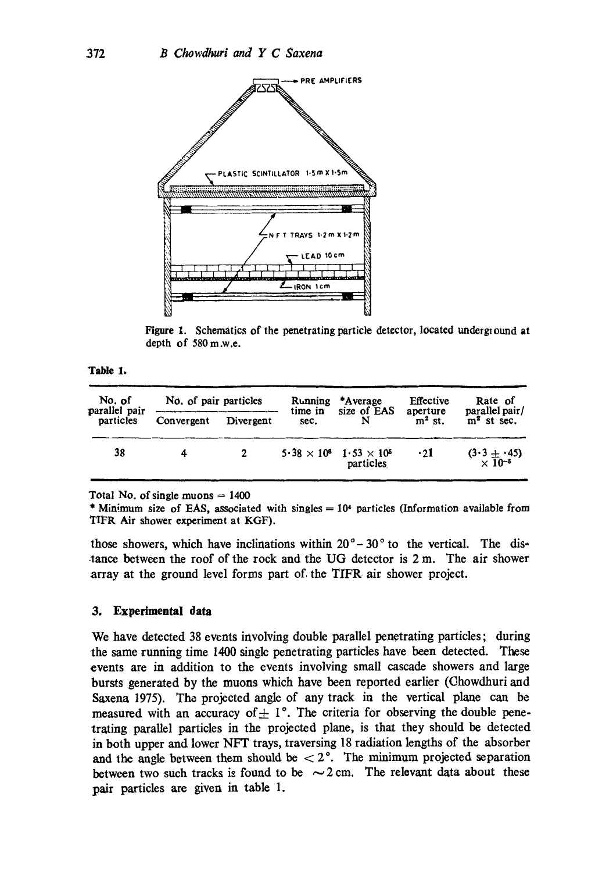

Figure 1. Schematics of the penetrating particle detector, located underground at depth of 580m.w.e.

i

Table 1. , ,, ,,,

| No. of<br>parallel pair<br>particles | No. of pair particles |             | Running<br>time in | *Average<br>size of EAS                            | Effective            | Rate of<br>parallel pair/        |
|--------------------------------------|-----------------------|-------------|--------------------|----------------------------------------------------|----------------------|----------------------------------|
|                                      | Convergent            | Divergent   | sec.               |                                                    | aperture<br>$m2$ st. | $m^2$ st sec.                    |
| 38                                   | 4                     | $2^{\circ}$ |                    | $5.38 \times 10^6$ 1.53 $\times 10^5$<br>particles | $\cdot$ 21           | $\frac{(3\cdot3 + 45)}{10^{-5}}$ |

Total No. of single muons  $= 1400$ 

\* Minimum size of EAS, associated with singles  $= 10<sup>4</sup>$  particles (Information available from TIFR Air shower experiment at KGF).

those showers, which have inclinations within  $20^{\circ}$  –  $30^{\circ}$  to the vertical. The distance between the roof of the rock and the UG detector is  $2 \text{ m}$ . The air shower array at the ground level forms part of the TIFR air shower project.

#### **3. Experimental data**

We have detected 38 events involving double parallel penetrating particles; during the same running time 1400 single penetrating particles have been detected. These events are in addition to the events involving small cascade showers and large bursts generated by the muons which have been reported earlier (Chowdhuri and Saxena 1975). The projected angle of any track in the vertical plane can be measured with an accuracy of  $\pm$  1<sup>°</sup>. The criteria for observing the double penetrating parallel particles in the projected plane, is that they should be detected in both upper and lower NFT trays, traversing 18 radiation lengths of the absorber and the angle between them should be  $\langle 2^{\circ}$ . The minimum projected separation between two such tracks is found to be  $\sim$  2 cm. The relevant data about these pair particles are given in table 1.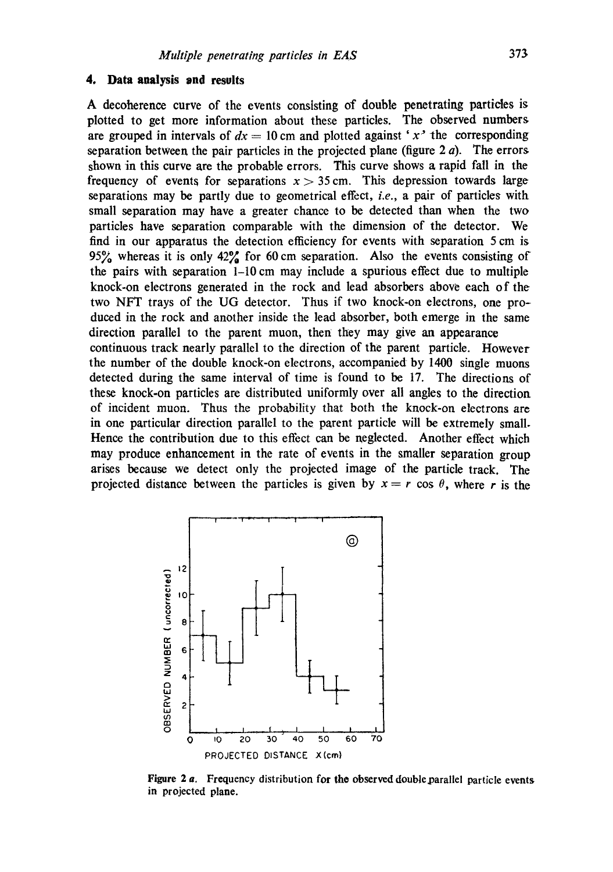#### **4. Data analysis and results**

A decoherence curve of the events consisting of double penetrating particles is plotted to get more information about these particles. The observed numbers are grouped in intervals of  $dx = 10$  cm and plotted against 'x' the corresponding separation between the pair particles in the projected plane (figure  $2a$ ). The errors shown in this curve are the probable errors. This curve shows a rapid fall in the frequency of events for separations  $x > 35$  cm. This depression towards large separations may be partly due to geometrical effect, *i.e.,* a pair of particles with small separation may have a greater chance to be detected than when the two particles have separation comparable with the dimension of the detector. We find in our apparatus the detection efficiency for events with separation 5 cm is 95% whereas it is only  $42\%$  for 60 cm separation. Also the events consisting of the pairs with separation 1-10 cm may include a spurious effect due to multiple knock-on electrons generated in the rock and lead absorbers above each of the two NFT trays of the UG detector. Thus if two knock-on electrons, one produced in the rock and another inside the lead absorber, both emerge in the same direction parallel to the parent muon, then they may give an appearance continuous track nearly parallel to the direction of the parent particle. However the number of the double knock-on electrons, accompanied by 1400 single muons detected during the same interval of time is found to be 17. The directions of these knock-on particles are distributed uniformly over all angles to the direction of incident muon. Thus the probability that both the knock-on electrons are in one particular direction parallel to the parent particle will be extremely small. Hence the contribution due to this effect can be neglected. Another effect which may produce enhancement in the rate of events in the smaller separation group arises because we detect only the projected image of the particle track. The projected distance between the particles is given by  $x = r \cos \theta$ , where r is the



Figure  $2a$ . Frequency distribution for the observed double parallel particle events in projected plane.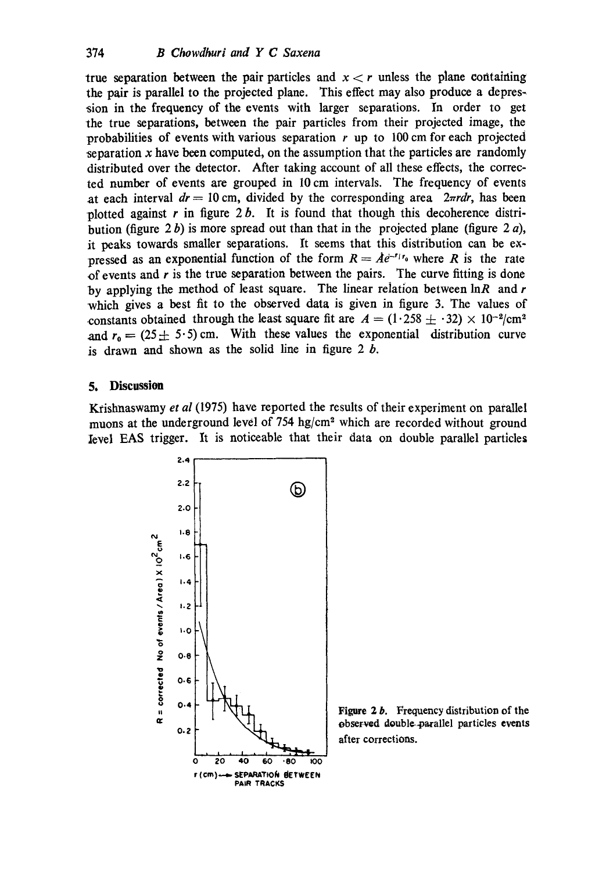true separation between the pair particles and  $x < r$  unless the plane containing the pair is parallel to the projected plane. This effect may also produce a depression in the frequency of the events with larger separations. In order to get the true separations, between the pair particles from their projected image, the probabilities of events with various separation  $r$  up to 100 cm for each projected separation  $x$  have been computed, on the assumption that the particles are randomly distributed over the detector. After taking account of all these effects, the corrected number of events are grouped in 10 cm intervals. The frequency of events at each interval  $dr = 10$  cm, divided by the corresponding area  $2\pi r dr$ , has been plotted against r in figure  $2 b$ . It is found that though this decoherence distribution (figure 2b) is more spread out than that in the projected plane (figure 2 $a$ ), it peaks towards smaller separations. It seems that this distribution can be expressed as an exponential function of the form  $R = Ae^{-r/r_0}$  where R is the rate of events and  $r$  is the true separation between the pairs. The curve fitting is done by applying the method of least square. The linear relation between  $\ln R$  and r which gives a best fit to the observed data is given in figure 3. The values of constants obtained through the least square fit are  $A = (1.258 \pm .32) \times 10^{-2}/\text{cm}^2$ and  $r_0 = (25 \pm 5.5)$  cm. With these values the exponential distribution curve is drawn and shown as the solid line in figure  $2 b$ .

### **5. Discussion**

Krishnaswamy *et al* (1975) have reported the results of their experiment on parallel muons at the underground level of  $754 \text{ hg/cm}^2$  which are recorded without ground Ievel EAS trigger. It is noticeable that their data on double parallel particles



Figure 2 b. Frequency distribution of **the**  observed doubl¢4~rallel particles **events**  after corrections.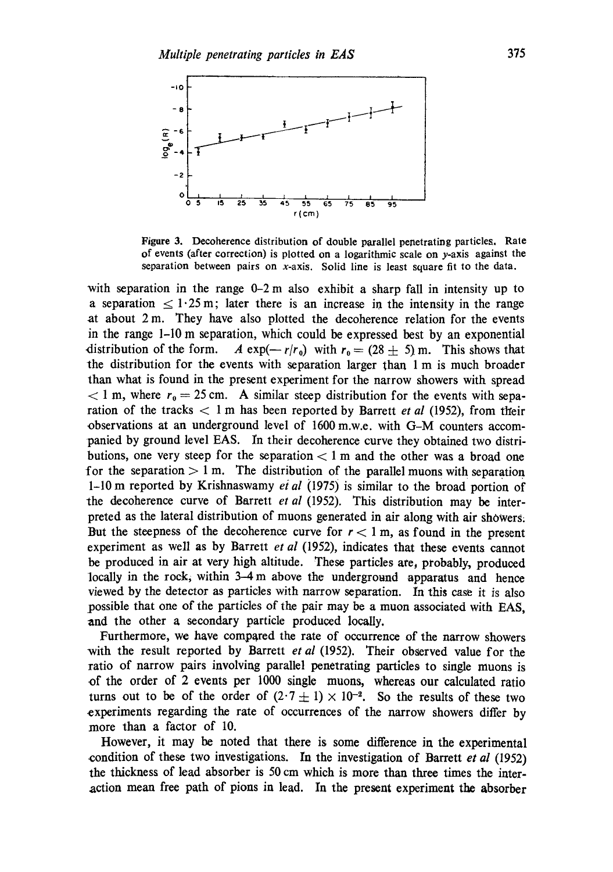

**Figure** 3. Decoherence distribution of double parallel penetrating particles. Rale **of** events (after correction) is plotted on a logarithmic scale on y-axis against the separation between pairs on  $x$ -axis. Solid line is least square fit to the data.

with separation in the range  $0-2$  m also exhibit a sharp fall in intensity up to a separation  $\leq 1.25 \,\mathrm{m}$ ; later there is an increase in the intensity in the range at about  $2 \text{ m}$ . They have also plotted the decoherence relation for the events in the range 1-10 m separation, which could be expressed best by an exponential distribution of the form. A  $\exp(-r/r_0)$  with  $r_0 = (28 \pm 5)$  m. This shows that the distribution for the events with separation larger than 1 m is much broader than what is found in the present experiment for the narrow showers with spread  $< 1$  m, where  $r_0 = 25$  cm. A similar steep distribution for the events with separation of the tracks  $< 1$  m has been reported by Barrett *et al* (1952), from their observations at an underground level of 1600 m.w.e, with G-M counters accompanied by ground level EAS. In their decohcrence curve they obtained two distributions, one very steep for the separation  $< 1$  m and the other was a broad one for the separation  $> 1$  m. The distribution of the parallel muons with separation 1-10 m reported by Krishnaswamy *ei al* (1975) is similar to the broad portion of the decoherence curve of Barrett *et al* (1952). This distribution may be interpreted as the lateral distribution of muons generated in air along with air showers: But the steepness of the decoherence curve for  $r < 1$  m, as found in the present experiment as well as by Barrett *et al* (1952), indicates that these events cannot be produced in air at very high altitude. These particles are, probably, produced locally in the rock, within 3-4 m above the underground apparatus and hence viewed by the detector as particles with narrow separation. In this case it is also possible that one of the particles of the pair may be a muon associated with EAS, and the other a secondary particle produced locally.

Furthermore, we have compared the rate of occurrence of the narrow showers with the result reported by Barrett *et al* (1952). Their observed value for the ratio of narrow pairs involving parallel penetrating particles to single muons is of the order of 2 events per 1000 single muons, whereas our calculated ratio turns out to be of the order of  $(2.7 \pm 1) \times 10^{-2}$ . So the results of these two experiments regarding the rate of occurrences of the narrow showers differ by more than a factor of 10.

However, it may be noted that there is some difference in the experimental condition of these two investigations. In the investigation of Barrett *et al* (1952) the thickness of lead absorber is 50 cm which is more than three times the interaction mean free path of pions in lead. In the present experiment the absorber